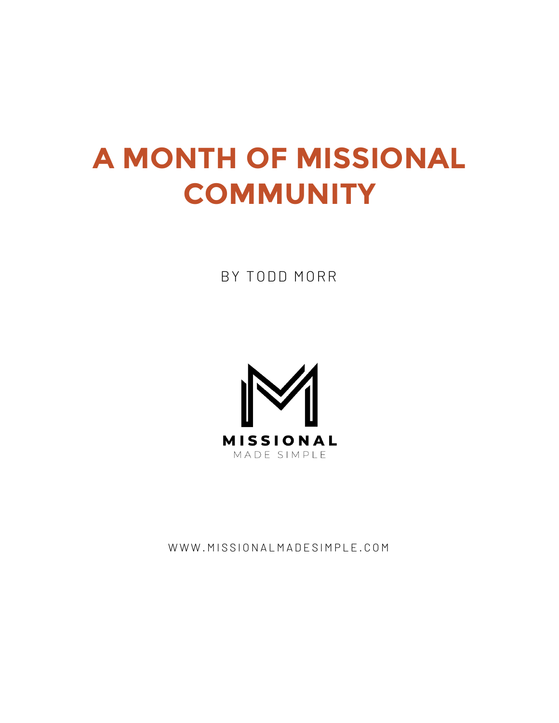# **A MONTH OF MISSIONAL COMMUNITY**

BY TODD MORR



WWW.MISSIONALMADESIMPLE.COM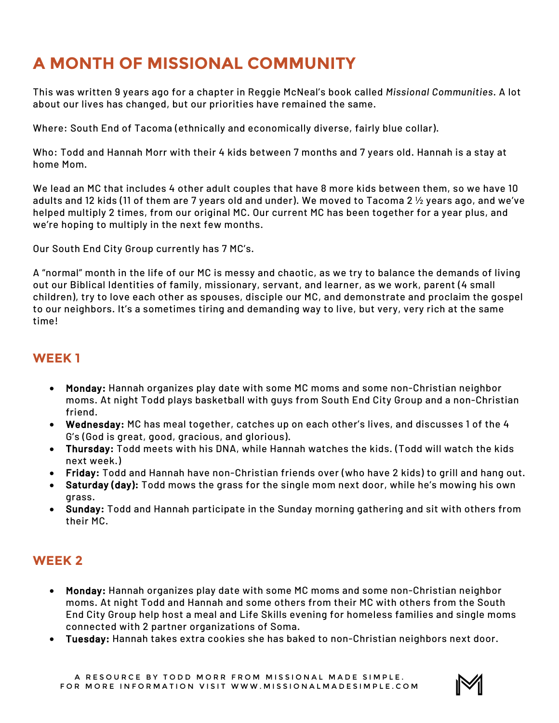# **A MONTH OF MISSIONAL COMMUNITY**

This was written 9 years ago for a chapter in Reggie McNeal's book called *Missional Communities*. A lot about our lives has changed, but our priorities have remained the same.

Where: South End of Tacoma (ethnically and economically diverse, fairly blue collar).

Who: Todd and Hannah Morr with their 4 kids between 7 months and 7 years old. Hannah is a stay at home Mom.

We lead an MC that includes 4 other adult couples that have 8 more kids between them, so we have 10 adults and 12 kids (11 of them are 7 years old and under). We moved to Tacoma 2 ½ years ago, and we've helped multiply 2 times, from our original MC. Our current MC has been together for a year plus, and we're hoping to multiply in the next few months.

Our South End City Group currently has 7 MC's.

A "normal" month in the life of our MC is messy and chaotic, as we try to balance the demands of living out our Biblical Identities of family, missionary, servant, and learner, as we work, parent (4 small children), try to love each other as spouses, disciple our MC, and demonstrate and proclaim the gospel to our neighbors. It's a sometimes tiring and demanding way to live, but very, very rich at the same time!

#### **WEEK 1**

- Monday: Hannah organizes play date with some MC moms and some non-Christian neighbor moms. At night Todd plays basketball with guys from South End City Group and a non-Christian friend.
- Wednesday: MC has meal together, catches up on each other's lives, and discusses 1 of the 4 G's (God is great, good, gracious, and glorious).
- Thursday: Todd meets with his DNA, while Hannah watches the kids. (Todd will watch the kids next week.)
- Friday: Todd and Hannah have non-Christian friends over (who have 2 kids) to grill and hang out.
- Saturday (day): Todd mows the grass for the single mom next door, while he's mowing his own grass.
- Sunday: Todd and Hannah participate in the Sunday morning gathering and sit with others from their MC.

## **WEEK 2**

- Monday: Hannah organizes play date with some MC moms and some non-Christian neighbor moms. At night Todd and Hannah and some others from their MC with others from the South End City Group help host a meal and Life Skills evening for homeless families and single moms connected with 2 partner organizations of Soma.
- Tuesday: Hannah takes extra cookies she has baked to non-Christian neighbors next door.